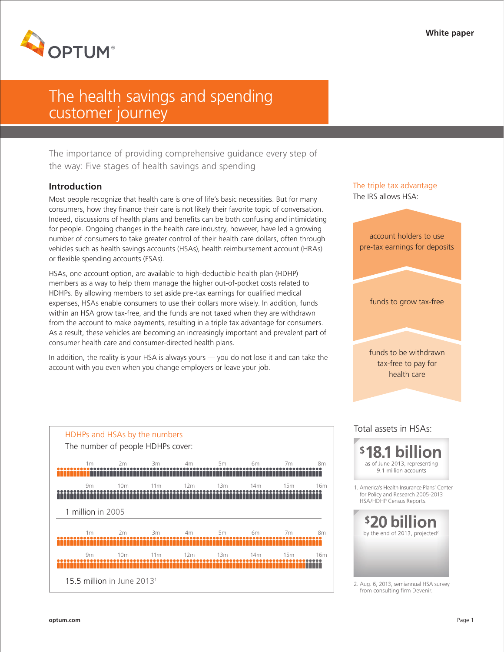

# The health savings and spending customer journey

The importance of providing comprehensive guidance every step of the way: Five stages of health savings and spending

## **Introduction**

Most people recognize that health care is one of life's basic necessities. But for many consumers, how they finance their care is not likely their favorite topic of conversation. Indeed, discussions of health plans and benefits can be both confusing and intimidating for people. Ongoing changes in the health care industry, however, have led a growing number of consumers to take greater control of their health care dollars, often through vehicles such as health savings accounts (HSAs), health reimbursement account (HRAs) or flexible spending accounts (FSAs).

HSAs, one account option, are available to high-deductible health plan (HDHP) members as a way to help them manage the higher out-of-pocket costs related to HDHPs. By allowing members to set aside pre-tax earnings for qualified medical expenses, HSAs enable consumers to use their dollars more wisely. In addition, funds within an HSA grow tax-free, and the funds are not taxed when they are withdrawn from the account to make payments, resulting in a triple tax advantage for consumers. As a result, these vehicles are becoming an increasingly important and prevalent part of consumer health care and consumer-directed health plans.

In addition, the reality is your HSA is always yours — you do not lose it and can take the account with you even when you change employers or leave your job.

4m

5m

6m

7m

8m

16m

8m

16m

15m

7m

'††††††

15m

14m

6m

'ffffffff

14m

13m

5m

13m

12m

4m

111111111111111111111111

12m

HDHPs and HSAs by the numbers The number of people HDHPs cover:

2m

3m

11m

3m

11m

10m

2m

10m

15.5 million in June 20131



2. Aug. 6, 2013, semiannual HSA survey from consulting firm Devenir.

1m

9m

1m

<u> Alamania Alamania (Al</u>

1 million in 2005

9m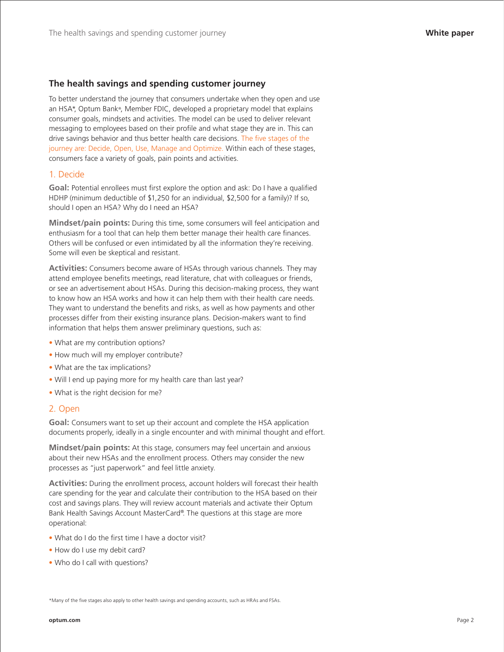## **The health savings and spending customer journey**

To better understand the journey that consumers undertake when they open and use an HSA\*, Optum Bank®, Member FDIC, developed a proprietary model that explains consumer goals, mindsets and activities. The model can be used to deliver relevant messaging to employees based on their profile and what stage they are in. This can drive savings behavior and thus better health care decisions. The five stages of the journey are: Decide, Open, Use, Manage and Optimize. Within each of these stages, consumers face a variety of goals, pain points and activities.

#### 1. Decide

**Goal:** Potential enrollees must first explore the option and ask: Do I have a qualified HDHP (minimum deductible of \$1,250 for an individual, \$2,500 for a family)? If so, should I open an HSA? Why do I need an HSA?

**Mindset/pain points:** During this time, some consumers will feel anticipation and enthusiasm for a tool that can help them better manage their health care finances. Others will be confused or even intimidated by all the information they're receiving. Some will even be skeptical and resistant.

**Activities:** Consumers become aware of HSAs through various channels. They may attend employee benefits meetings, read literature, chat with colleagues or friends, or see an advertisement about HSAs. During this decision-making process, they want to know how an HSA works and how it can help them with their health care needs. They want to understand the benefits and risks, as well as how payments and other processes differ from their existing insurance plans. Decision-makers want to find information that helps them answer preliminary questions, such as:

- What are my contribution options?
- How much will my employer contribute?
- What are the tax implications?
- Will I end up paying more for my health care than last year?
- What is the right decision for me?

#### 2. Open

**Goal:** Consumers want to set up their account and complete the HSA application documents properly, ideally in a single encounter and with minimal thought and effort.

**Mindset/pain points:** At this stage, consumers may feel uncertain and anxious about their new HSAs and the enrollment process. Others may consider the new processes as "just paperwork" and feel little anxiety.

**Activities:** During the enrollment process, account holders will forecast their health care spending for the year and calculate their contribution to the HSA based on their cost and savings plans. They will review account materials and activate their Optum Bank Health Savings Account MasterCard®. The questions at this stage are more operational:

- What do I do the first time I have a doctor visit?
- How do I use my debit card?
- Who do I call with questions?

\*Many of the five stages also apply to other health savings and spending accounts, such as HRAs and FSAs.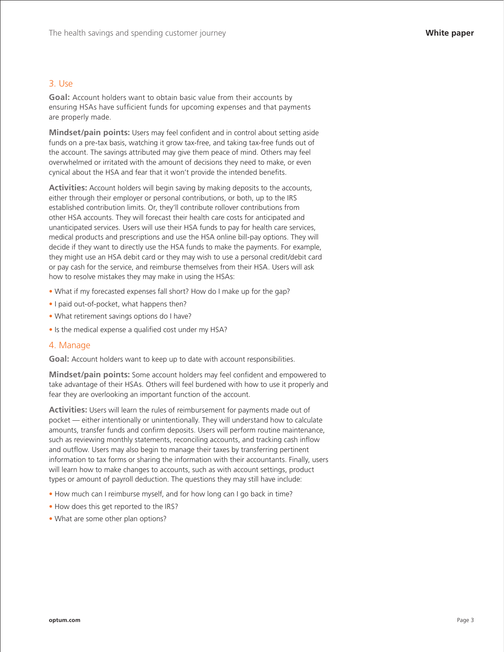#### 3. Use

**Goal:** Account holders want to obtain basic value from their accounts by ensuring HSAs have sufficient funds for upcoming expenses and that payments are properly made.

**Mindset/pain points:** Users may feel confident and in control about setting aside funds on a pre-tax basis, watching it grow tax-free, and taking tax-free funds out of the account. The savings attributed may give them peace of mind. Others may feel overwhelmed or irritated with the amount of decisions they need to make, or even cynical about the HSA and fear that it won't provide the intended benefits.

**Activities:** Account holders will begin saving by making deposits to the accounts, either through their employer or personal contributions, or both, up to the IRS established contribution limits. Or, they'll contribute rollover contributions from other HSA accounts. They will forecast their health care costs for anticipated and unanticipated services. Users will use their HSA funds to pay for health care services, medical products and prescriptions and use the HSA online bill-pay options. They will decide if they want to directly use the HSA funds to make the payments. For example, they might use an HSA debit card or they may wish to use a personal credit/debit card or pay cash for the service, and reimburse themselves from their HSA. Users will ask how to resolve mistakes they may make in using the HSAs:

- What if my forecasted expenses fall short? How do I make up for the gap?
- I paid out-of-pocket, what happens then?
- What retirement savings options do I have?
- Is the medical expense a qualified cost under my HSA?

#### 4. Manage

**Goal:** Account holders want to keep up to date with account responsibilities.

**Mindset/pain points:** Some account holders may feel confident and empowered to take advantage of their HSAs. Others will feel burdened with how to use it properly and fear they are overlooking an important function of the account.

**Activities:** Users will learn the rules of reimbursement for payments made out of pocket — either intentionally or unintentionally. They will understand how to calculate amounts, transfer funds and confirm deposits. Users will perform routine maintenance, such as reviewing monthly statements, reconciling accounts, and tracking cash inflow and outflow. Users may also begin to manage their taxes by transferring pertinent information to tax forms or sharing the information with their accountants. Finally, users will learn how to make changes to accounts, such as with account settings, product types or amount of payroll deduction. The questions they may still have include:

- How much can I reimburse myself, and for how long can I go back in time?
- How does this get reported to the IRS?
- What are some other plan options?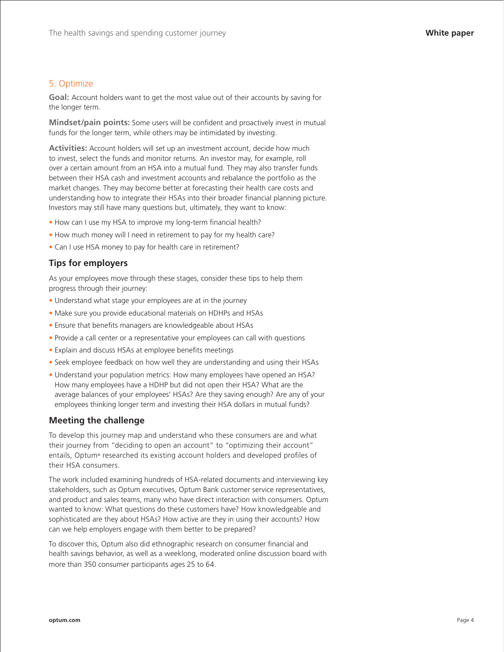## 5. Optimize

**Goal:** Account holders want to get the most value out of their accounts by saving for the longer term.

**Mindset/pain points:** Some users will be confident and proactively invest in mutual funds for the longer term, while others may be intimidated by investing.

**Activities:** Account holders will set up an investment account, decide how much to invest, select the funds and monitor returns. An investor may, for example, roll over a certain amount from an HSA into a mutual fund. They may also transfer funds between their HSA cash and investment accounts and rebalance the portfolio as the market changes. They may become better at forecasting their health care costs and understanding how to integrate their HSAs into their broader financial planning picture. Investors may still have many questions but, ultimately, they want to know:

- How can I use my HSA to improve my long-term financial health?
- How much money will I need in retirement to pay for my health care?
- Can I use HSA money to pay for health care in retirement?

## **Tips for employers**

As your employees move through these stages, consider these tips to help them progress through their journey:

- Understand what stage your employees are at in the journey
- Make sure you provide educational materials on HDHPs and HSAs
- Ensure that benefits managers are knowledgeable about HSAs
- Provide a call center or a representative your employees can call with questions
- Explain and discuss HSAs at employee benefits meetings
- Seek employee feedback on how well they are understanding and using their HSAs
- Understand your population metrics: How many employees have opened an HSA? How many employees have a HDHP but did not open their HSA? What are the average balances of your employees' HSAs? Are they saving enough? Are any of your employees thinking longer term and investing their HSA dollars in mutual funds?

#### **Meeting the challenge**

To develop this journey map and understand who these consumers are and what their journey from "deciding to open an account" to "optimizing their account" entails, Optum® researched its existing account holders and developed profiles of their HSA consumers.

The work included examining hundreds of HSA-related documents and interviewing key stakeholders, such as Optum executives, Optum Bank customer service representatives, and product and sales teams, many who have direct interaction with consumers. Optum wanted to know: What questions do these customers have? How knowledgeable and sophisticated are they about HSAs? How active are they in using their accounts? How can we help employers engage with them better to be prepared?

To discover this, Optum also did ethnographic research on consumer financial and health savings behavior, as well as a weeklong, moderated online discussion board with more than 350 consumer participants ages 25 to 64.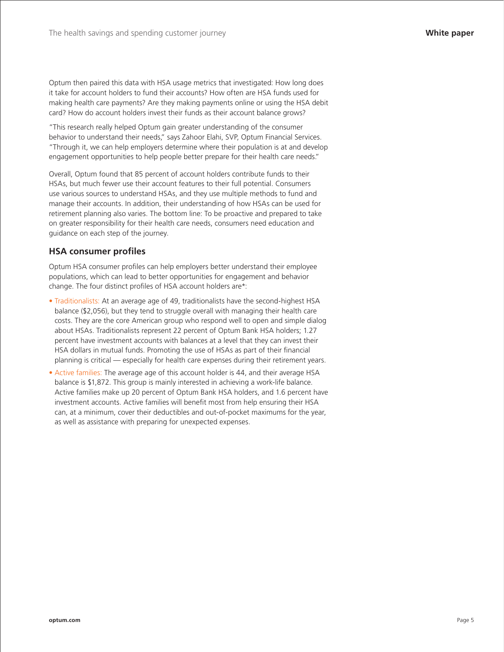Optum then paired this data with HSA usage metrics that investigated: How long does it take for account holders to fund their accounts? How often are HSA funds used for making health care payments? Are they making payments online or using the HSA debit card? How do account holders invest their funds as their account balance grows?

"This research really helped Optum gain greater understanding of the consumer behavior to understand their needs," says Zahoor Elahi, SVP, Optum Financial Services. "Through it, we can help employers determine where their population is at and develop engagement opportunities to help people better prepare for their health care needs."

Overall, Optum found that 85 percent of account holders contribute funds to their HSAs, but much fewer use their account features to their full potential. Consumers use various sources to understand HSAs, and they use multiple methods to fund and manage their accounts. In addition, their understanding of how HSAs can be used for retirement planning also varies. The bottom line: To be proactive and prepared to take on greater responsibility for their health care needs, consumers need education and guidance on each step of the journey.

# **HSA consumer profiles**

Optum HSA consumer profiles can help employers better understand their employee populations, which can lead to better opportunities for engagement and behavior change. The four distinct profiles of HSA account holders are\*:

- Traditionalists: At an average age of 49, traditionalists have the second-highest HSA balance (\$2,056), but they tend to struggle overall with managing their health care costs. They are the core American group who respond well to open and simple dialog about HSAs. Traditionalists represent 22 percent of Optum Bank HSA holders; 1.27 percent have investment accounts with balances at a level that they can invest their HSA dollars in mutual funds. Promoting the use of HSAs as part of their financial planning is critical — especially for health care expenses during their retirement years.
- Active families: The average age of this account holder is 44, and their average HSA balance is \$1,872. This group is mainly interested in achieving a work-life balance. Active families make up 20 percent of Optum Bank HSA holders, and 1.6 percent have investment accounts. Active families will benefit most from help ensuring their HSA can, at a minimum, cover their deductibles and out-of-pocket maximums for the year, as well as assistance with preparing for unexpected expenses.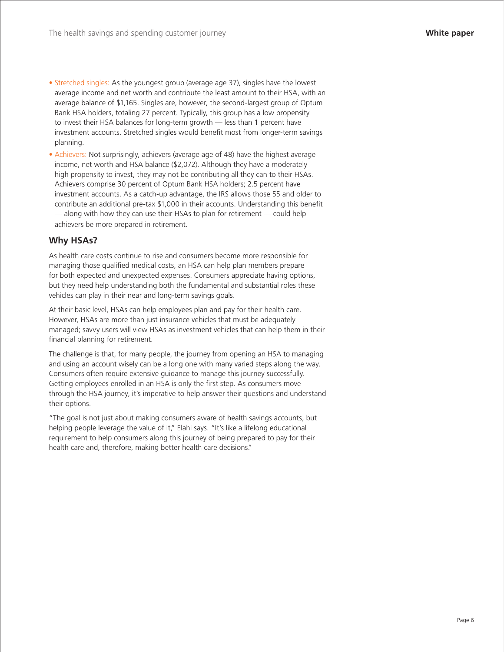- Stretched singles: As the youngest group (average age 37), singles have the lowest average income and net worth and contribute the least amount to their HSA, with an average balance of \$1,165. Singles are, however, the second-largest group of Optum Bank HSA holders, totaling 27 percent. Typically, this group has a low propensity to invest their HSA balances for long-term growth — less than 1 percent have investment accounts. Stretched singles would benefit most from longer-term savings planning.
- Achievers: Not surprisingly, achievers (average age of 48) have the highest average income, net worth and HSA balance (\$2,072). Although they have a moderately high propensity to invest, they may not be contributing all they can to their HSAs. Achievers comprise 30 percent of Optum Bank HSA holders; 2.5 percent have investment accounts. As a catch-up advantage, the IRS allows those 55 and older to contribute an additional pre-tax \$1,000 in their accounts. Understanding this benefit — along with how they can use their HSAs to plan for retirement — could help achievers be more prepared in retirement.

# **Why HSAs?**

As health care costs continue to rise and consumers become more responsible for managing those qualified medical costs, an HSA can help plan members prepare for both expected and unexpected expenses. Consumers appreciate having options, but they need help understanding both the fundamental and substantial roles these vehicles can play in their near and long-term savings goals.

At their basic level, HSAs can help employees plan and pay for their health care. However, HSAs are more than just insurance vehicles that must be adequately managed; savvy users will view HSAs as investment vehicles that can help them in their financial planning for retirement.

The challenge is that, for many people, the journey from opening an HSA to managing and using an account wisely can be a long one with many varied steps along the way. Consumers often require extensive guidance to manage this journey successfully. Getting employees enrolled in an HSA is only the first step. As consumers move through the HSA journey, it's imperative to help answer their questions and understand their options.

"The goal is not just about making consumers aware of health savings accounts, but helping people leverage the value of it," Elahi says. "It's like a lifelong educational requirement to help consumers along this journey of being prepared to pay for their health care and, therefore, making better health care decisions."